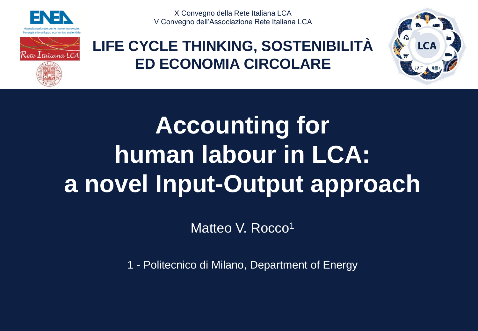



X Convegno della Rete Italiana LCA V Convegno dell'Associazione Rete Italiana LCA

## **LIFE CYCLE THINKING, SOSTENIBILITÀ ED ECONOMIA CIRCOLARE**



# **Accounting for human labour in LCA: a novel Input-Output approach**

Matteo V. Rocco<sup>1</sup>

1 - Politecnico di Milano, Department of Energy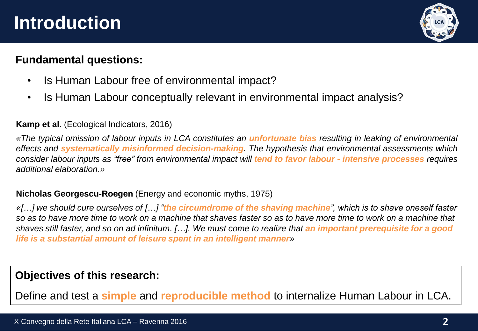## **Introduction**



### **Fundamental questions:**

- Is Human Labour free of environmental impact?
- Is Human Labour conceptually relevant in environmental impact analysis?

#### **Kamp et al.** (Ecological Indicators, 2016)

«The typical omission of labour inputs in LCA constitutes an *unfortunate bias* resulting in leaking of environmental *effects and systematically misinformed decision-making. The hypothesis that environmental assessments which* consider labour inputs as "free" from environmental impact will tend to favor labour - intensive processes requires *additional elaboration.»*

### **Nicholas Georgescu-Roegen** (Energy and economic myths, 1975)

*«[…] we should cure ourselves of […] "the circumdrome of the shaving machine", which is to shave oneself faster so as to have more time to work on a machine that shaves faster so as to have more time to work on a machine that shaves still faster, and so on ad infinitum. […]. We must come to realize that an important prerequisite for a good life is a substantial amount of leisure spent in an intelligent manner»*

### **Objectives of this research:**

Define and test a **simple** and **reproducible method** to internalize Human Labour in LCA.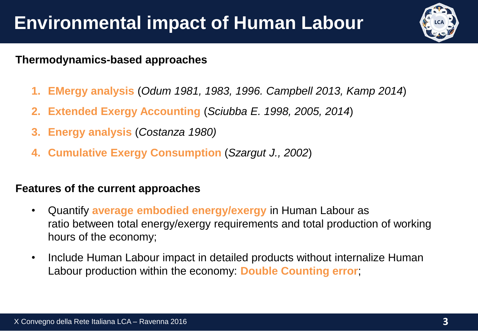## **Thermodynamics-based approaches**

- **1. EMergy analysis** (*Odum 1981, 1983, 1996. Campbell 2013, Kamp 2014*)
- **2. Extended Exergy Accounting** (*Sciubba E. 1998, 2005, 2014*)
- **3. Energy analysis** (*Costanza 1980)*
- **4. Cumulative Exergy Consumption** (*Szargut J., 2002*)

## **Features of the current approaches**

- Quantify **average embodied energy/exergy** in Human Labour as ratio between total energy/exergy requirements and total production of working hours of the economy;
- Include Human Labour impact in detailed products without internalize Human Labour production within the economy: **Double Counting error**;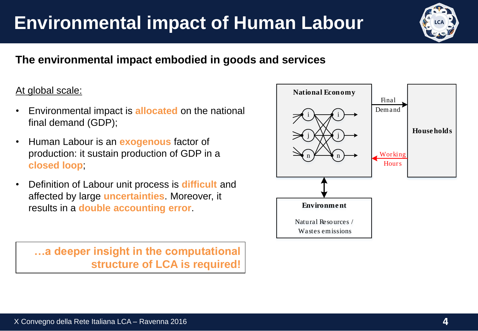## **Environmental impact of Human Labour**

## **The environmental impact embodied in goods and services**

### At global scale:

- Environmental impact is **allocated** on the national final demand (GDP);
- Human Labour is an **exogenous** factor of production: it sustain production of GDP in a **closed loop**;
- Definition of Labour unit process is **difficult** and affected by large **uncertainties**. Moreover, it results in a **double accounting error**.

**…a deeper insight in the computational structure of LCA is required!**



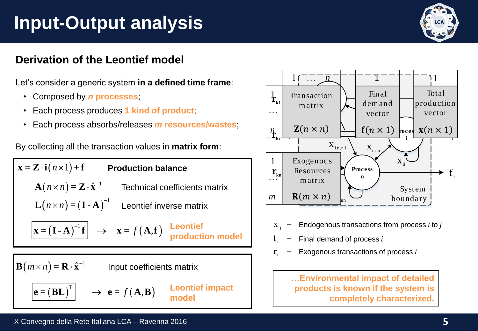## **Input-Output analysis**

## **Derivation of the Leontief model**

Let's consider a generic system **in a defined time frame**:

- Composed by *n* **processes**;
- Each process produces **1 kind of product**;
- Each process absorbs/releases *m* **resources/wastes**;

By collecting all the transaction values in **matrix form**:

 $(n\!\times\!n)\! =\! \mathbf{Z}\cdot\hat{\mathbf{x}}^{-\!1}$  Technical coefficients  $\mathbf{A}(n \times n) = \mathbf{Z} \cdot \hat{\mathbf{x}}^{-1}$  Technical coefficients matrix  $(\mathbf{I} \cdot \mathbf{A})^{-1} \mathbf{f} \rightarrow \mathbf{x} = f(\mathbf{A}, \mathbf{f})$  **Leontief**  $\mathbf{x}_{ij}$   $\mathbf{x}_{ij}$ **DUITERRESTANT CONTINUMERRED (SET ALL CONTRACT SET AND THE SURVEY OF A FORECT A FORECT A FORECT AND THE SURVEY OF A FORECT AND THE SURVEY OF A FORECT AND THE SURVEY OF A FORECT AND THE SURVEY OF A FORECT AND THE SURVEY OF**  $\mathbf{B}\!\left(m\!\times\!n\right)$  =  $\mathbf{R}\cdot\hat{\mathbf{x}}^{-1}$  Input coefficients matrix ˆ $\mathbf{x} = \mathbf{Z} \cdot \mathbf{i} (n \times 1) + \mathbf{f}$ **Production balance production model**  $(n \times n)$  =  $(I - A)^{-1}$  Leontief inverse matrix  $1$ *n n* - **L = I A** Leontief inverse matrix  $\mathbf{e} = (\mathbf{BL})^{\mathrm{T}} \Big| \quad \rightarrow \ \mathbf{e} = f(\mathbf{A}, \mathbf{B})$  Leontiet impact products is known if the sy **Leontief impact model**



 $\boldsymbol{\mathrm{x}}_{\mathsf{ij}}$   $-$  Endogenous transactions from process *i* to *j* 

- $x_{ij}$  = Endogenous transactions nom process *i* to  $f_{i}$  = Final demand of process *i*
- **<sup>r</sup><sup>i</sup>** Exogenous transactions of process *i*

**…Environmental impact of detailed products is known if the system is completely characterized.**

#### X Convegno della Rete Italiana LCA – Ravenna 2016 **5**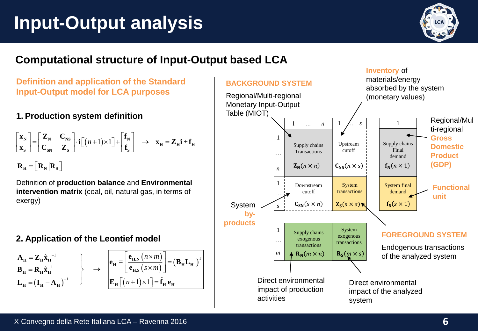# **Input-Output analysis**



## **Computational structure of Input-Output based LCA**

**Definition and application of the Standard Input-Output model for LCA purposes**

### **1. Production system definition**

$$
\begin{bmatrix} \mathbf{x}_{N} \\ \mathbf{x}_{S} \end{bmatrix} = \begin{bmatrix} \mathbf{Z}_{N} & \mathbf{C}_{NS} \\ \mathbf{C}_{SN} & \mathbf{Z}_{S} \end{bmatrix} \cdot \mathbf{i} \begin{bmatrix} (n+1) \times 1 \end{bmatrix} + \begin{bmatrix} \mathbf{f}_{N} \\ \mathbf{f}_{S} \end{bmatrix} \rightarrow \mathbf{x}_{H} = \mathbf{Z}_{H} \mathbf{i} + \mathbf{f}_{H}
$$

 $\mathbf{R}_{\rm H} = |\mathbf{R}_{\rm N}|\mathbf{R}_{\rm S}|$ 

Definition of **production balance** and **Environmental intervention matrix** (coal, oil, natural gas, in terms of exergy)

#### **2. Application of the Leontief model**

$$
\mathbf{A}_{\mathbf{H}} = \mathbf{Z}_{\mathbf{H}} \hat{\mathbf{x}}_{\mathbf{H}}^{-1}
$$
\n
$$
\mathbf{B}_{\mathbf{H}} = \mathbf{R}_{\mathbf{H}} \hat{\mathbf{x}}_{\mathbf{H}}^{-1}
$$
\n
$$
\mathbf{L}_{\mathbf{H}} = \left(\mathbf{I}_{\mathbf{H}} - \mathbf{A}_{\mathbf{H}}\right)^{-1}
$$
\n
$$
\rightarrow \begin{bmatrix} \mathbf{e}_{\mathbf{H}} = \left[\frac{\mathbf{e}_{\mathbf{H}, N} \left(n \times m\right)}{\mathbf{e}_{\mathbf{H}, S} \left(s \times m\right)}\right] = \left(\mathbf{B}_{\mathbf{H}} \mathbf{L}_{\mathbf{H}}\right)^{\mathrm{T}}
$$
\n
$$
\mathbf{E}_{\mathbf{H}} \left[\left(n+1\right) \times 1\right] = \hat{\mathbf{f}}_{\mathbf{H}} \mathbf{e}_{\mathbf{H}}
$$
\nDirect environmental impact of production

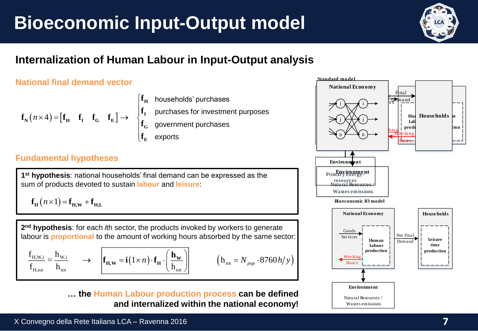# **Bioeconomic Input-Output model**



## **Internalization of Human Labour in Input-Output analysis**

### **National final demand vector**

$$
f_{N}(n \times 4) = [f_{H} \quad f_{I} \quad f_{G} \quad f_{E}] \rightarrow \begin{cases} f_{H} \quad \text{households' purchases} \\ f_{I} \quad \text{purehases for investment purposes} \\ f_{G} \quad \text{government purchases} \\ f_{E} \quad \text{exports} \end{cases} \longrightarrow \begin{cases} \frac{1}{n} & \frac{1}{n} \\ \frac{1}{n} & \frac{1}{n} \\ \frac{1}{n} & \frac{1}{n} \\ \frac{1}{n} & \frac{1}{n} \end{cases}
$$

#### **Fundamental hypotheses**

**1 st hypothesis**: national households' final demand can be expressed as the sum of products devoted to sustain **labour** and **leisure**:

$$
\mathbf{f}_{\mathbf{H}}(n \times 1) = \mathbf{f}_{\mathbf{H},\mathbf{W}} + \mathbf{f}_{\mathbf{H},\mathbf{L}}
$$

**2 nd hypothesis**: for each *i*th sector, the products invoked by workers to generate labour is **proportional** to the amount of working hours absorbed by the same sector:

$$
\frac{f_{H,W,i}}{f_{H,tot}} = \frac{h_{W,i}}{h_{tot}} \qquad \rightarrow \qquad \boxed{\mathbf{f}_{H}}
$$

$$
\frac{\mathbf{f}_{H,\mathbf{W},i}}{\mathbf{f}_{H,\text{tot}}} = \frac{\mathbf{h}_{\mathbf{W},i}}{\mathbf{h}_{\text{tot}}} \qquad \rightarrow \qquad \boxed{\mathbf{f}_{H,\mathbf{W}} = \mathbf{i}(1 \times n) \cdot \mathbf{f}_{H} \cdot \left(\frac{\mathbf{h}_{\mathbf{W}}}{\mathbf{h}_{\text{tot}}}\right)} \qquad \qquad \left(\mathbf{h}_{\text{tot}} = N_{pop} \cdot 87\right)
$$

$$
\frac{f_{H,W,i}}{f_{H,tot}} = \frac{h_{W,i}}{h_{tot}} \longrightarrow \left[ \mathbf{f}_{H,W} = \mathbf{i}(1 \times n) \cdot \mathbf{f}_{H} \cdot \left( \frac{\mathbf{h}_{W}}{h_{tot}} \right) \right] \qquad (h_{tot} = N_{pop} \cdot 8760 h/y)
$$

**… the Human Labour production process can be defined** 

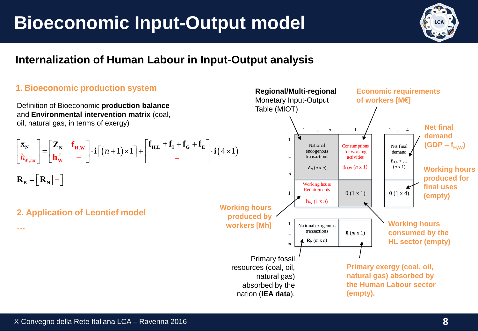## **Bioeconomic Input-Output model**



### **Internalization of Human Labour in Input-Output analysis**

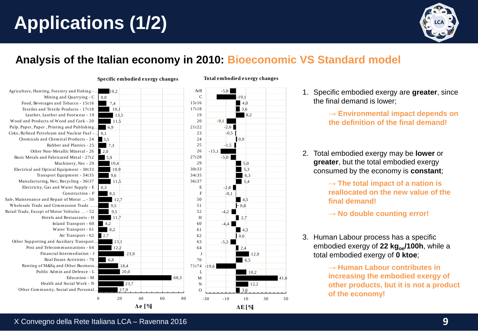# **Applications (1/2)**



## **Analysis of the Italian economy in 2010: Bioeconomic VS Standard model**

AtB C

#### 10,2 0,0 7,4 10,1 13,5 11,5 6,9  $0,1$ 3,5 7,3 2,0 5,9 10,4 Agriculture, Hunting, Forestry and Fishing -… Mining and Quarrying - C Food, Beverages and Tobacco - 15t16 Textiles and Textile Products - 17t18 Leather, Leather and Footwear - 19 Eather, Leather and Pootwear - 19<br>Wood and Products of Wood and Cork - 20 Pulp, Paper, Paper , Printing and Publishing… Coke, Refined Petroleum and Nuclear Fuel -… Chem icals and Chem ical Products - 24 Rubber and Plastics - 25 Other Non-Metallic Mineral - 26 Basic Metals and Fabricated Metal - 27t2 Machinery, Nec - 29  $\begin{array}{r} 13,5 \ \hline 10,1 \ \hline 13,5 \end{array}$

Electrical and Optical Equipm ent - 30t33

Sale, Maintenance and Repair of Motor ... - 50 Wholesale Trade and Commission Trade ... Retail Trade, Except of Motor Vehicles ... - 52

Other Supporting and Auxiliary Transport … Post and Telecommunications - 64 Financial Interm ediation - J Real Estate Activities - 70

> Renting of M&Eq and Other Business… Public Adm in and Defence - L

Other Community, Social and Personal.

Transport Equipm ent - 34t35 Manufacturing, Nec; Recycling - 36t37 Electricity, Gas and Water Supply - E

**Specific embodied exergy changes**

**Δe [%]**

| Mining and Quarrying $-C \mid 0.0$       |                |                | C           |                | -19,1              |      |                                                     |
|------------------------------------------|----------------|----------------|-------------|----------------|--------------------|------|-----------------------------------------------------|
| erages and Tobacco - 15t16               | 7,4            |                | 15t16       |                | $\blacksquare$ 4,0 |      | the final demand is lower;                          |
| nd Textile Products - 17t18              | 10,1           |                | 17t18       |                | $\blacksquare$ 3.6 |      |                                                     |
| Leather and Footwear - 19                | 13.5           |                | 19          |                | 8.2                |      | $\rightarrow$ Environmental impact depends          |
| ucts of Wood and Cork - 20               | 11.5           |                | 20          | $-9.1$         |                    |      | the definition of the final demand                  |
| er, Printing and Publishing              | 6.9            |                | 21t22       | $-2,6$         |                    |      |                                                     |
| etroleum and Nuclear Fuel - 0.1          |                |                | 23          | $+0.5$         |                    |      |                                                     |
| and Chemical Products - 24               | 3.5            |                | 24          |                | 0.9                |      |                                                     |
| Rubber and Plastics - 25                 | 7.3            |                | 25          | $-1,5$         |                    |      |                                                     |
| r Non-Metallic Mineral - $26 \times 2.0$ |                |                | 26          | $-15.1$        |                    |      | Total embodied exergy may be <b>lower</b> or<br>2.  |
| and Fabricated Metal - 27t2              | 5,9            |                | 27t28       | $-5.0$         |                    |      |                                                     |
| Machinery, Nec - 29                      | 10,4           |                | 29          |                | 5.0                |      | greater, but the total embodied exergy              |
| Optical Equipment - 30t33                | 10.9           |                | 30t33       |                | 5,3                |      | consumed by the economy is <b>constant</b> ;        |
| ansport Equipment - 34t35                | 9,6            |                | 34t35       |                | 6.3                |      |                                                     |
| ring, Nec; Recycling - 36t37             | 11.5           |                | 36t37       |                | 5,4                |      | $\rightarrow$ The total impact of a nation is       |
| y, Gas and Water Supply - E              | 0,3            |                | E           | $-2,8$         |                    |      |                                                     |
| Construction - F                         | 8,5            |                | F           | $+0.1$         |                    |      | reallocated on the new value of th                  |
| and Repair of Motor  - 50                | 12,7           |                | 50          |                | 4.5                |      | final demand!                                       |
| e and Commission Trade                   | 9,5            |                | 51          |                | $\mathsf{L}_{0,8}$ |      |                                                     |
| pt of Motor Vehicles  - 52               | 9,5            |                | 52          | $-4.2$         |                    |      | $\rightarrow$ No double counting error!             |
| Hotels and Restaurants - H               | 11.7           |                | H           |                | 2,7                |      |                                                     |
| Inland Transport - $60 \quad 4,2$        |                |                | 60          | $-4,4$         |                    |      |                                                     |
| Water Transport - 61                     | 8,2            |                | 61          |                | 4.3                |      |                                                     |
| Air Transport - $62 \quad 2.7$           |                |                | 62          |                | 0,6                |      | 3. Human Labour process has a specific              |
| ing and Auxiliary Transport              | 13,1           |                | 63          | $-5.3$         |                    |      |                                                     |
| d Telecommunications - 64                | 12,2           |                | 64          |                | 2,4                |      | embodied exergy of 22 kg <sub>oe</sub> /100h, while |
| Financial Intermediation - J             | 23.9           |                |             |                | 12.9               |      | total embodied exergy of 0 ktoe;                    |
| Real Estate Activities - 70              | 6,8            |                | 70          |                | 6.5                |      |                                                     |
| f M&Eq and Other Business                | 18,4           |                | 71t74 -19,6 |                |                    |      | $\rightarrow$ Human Labour contributes in           |
| iblic Admin and Defence - L              | 20,0           |                | L           |                | 10,2               |      |                                                     |
| Education - M                            |                | 68,3           | M           |                |                    | 41,6 | increasing the embodied exergy of                   |
| Health and Social Work - N               | 23,7           |                | N           |                | 12,2               |      | other products, but it is not a pro-                |
| munity, Social and Personal              | 17,9           |                | $\Omega$    |                | 3.6                |      | of the economy!                                     |
|                                          | 20<br>$\bf{0}$ | 40<br>60<br>80 |             | $-30$<br>$-10$ | 30<br>10           | 50   |                                                     |
|                                          |                |                |             |                |                    |      |                                                     |

#### **Total embodied exergy changes**

**ΔE [%]**

-5,8

- 1. Specific embodied exergy are **greater**, since the final demand is lower;
	- → **Environmental impact depends on the definition of the final demand!**
- **greater**, but the total embodied exergy consumed by the economy is **constant**;
	- → **The total impact of a nation is reallocated on the new value of the final demand!**
	- → **No double counting error!**
- 3. Human Labour process has a specific embodied exergy of **22 kgoe/100h**, while a total embodied exergy of **0 ktoe**;

→ **Human Labour contributes in increasing the embodied exergy of other products, but it is not a product of the economy!**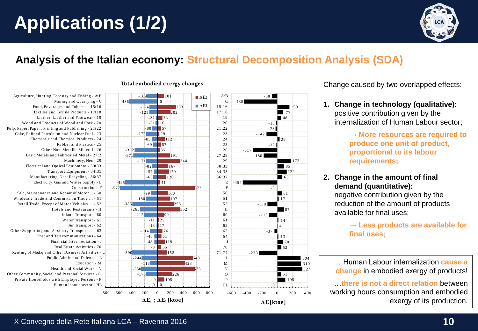# **Applications (1/2)**



## **Analysis of the Italian economy: Structural Decomposition Analysis (SDA)**

#### 0 202 191 344 167 179 160 197 255 -385  $-265$ 2 5 152 -244 428 -250 226  $\mathbb{I}$ Agriculture, Hunting, Forestry and Fishing - AtB Mining and Quarrying - C -124 Food, Beverages and Tobacco - 15t16 Food, Beverages and Tobacco - 15t16 Textiles and Textile Products - 17t18 Leather, Leather and Footwear - 19 -3 1 Wood and Products of Wood and Cork - 20 Wood and Products of Wood and Cork - 20 -8 0 Pulp, Paper, Paper , Printing and Publishing - 21t22 Pulp, Paper, Paper , Printing and Publishing - 21t22 Coke, Refined Petroleum and Nuclear Fuel - 23 -8 3 Chem icals and Chem ical Products - 24 Chem icals and Chem ical Products - 24 Rubber and Plastics - 25 Other Non-Metallic Mineral - 26 Basic Metals and Fabricated Metal - 27t2 Machinery, Nec - 29 Electrical and Optical Equipment - 30t33 Transport Equipment - 34t35 Manufacturing, Nec; Recycling - 36t37 -495 Electricity, Gas and Water Supply - E Electricity, Gas and Water Supply - E Sale, Maintenance and Repair of Motor ... - 50 Wholesale Trade and Commission Trade ... - 51 Retail Trade, Except of Motor Vehicles ... - 52 Hotels and Restaurants - H Inland Transport - 60 Water Transport - 61 Air Transport - 62 Other Supporting and Auxiliary Transport ... - 63 Post and Telecommunications - 64 -4 8 Financial Interm ediation - J Real Estate Activities - 70 Renting of M&Eq and Other Business Activities -… Public Admin and Defence - L Education - M Health and Social Work - N -175 Other Com m unity, Social and Personal Services - O Other Com m unity, Social and Personal Services - O 0 Private Households w ith Em ployed Persons - P Private Households w ith Em ployed Persons - P 0 Hum an labour sector - HL -800 -600 -400 -200 0 200 400 600 800 -800 -600 -400 -200 0 200 400 600 800 Other Non-Metallic Mineral - 26 Public Adm in and Defence - L  $-169$  $-124$ 101 **202** 1 9 2 0  $-80$  57 2 3 112 1 -2 6 27t28 191 <sup>167</sup> **179** 36t37 126 160 || 197 5 2 255 6 0 6 1 6 2 6 3 6 4 7 0  $152$  $|226\rangle$ P 105 HL 0 283  $\overline{76}$  $-31$  16  $\sqrt{29}$ -69 157  $35$  $\vert 41 \vert$ **99**  $\mathbf{125}$ 17 **1** 76 -48 61 -48 119  $55$ 0 -436  $-125$  $-27$ -172  $-83$  $-352$ -371 -171  $-82$  $-57$  $-63$ -495 -577 -99 -180 -212 -1 1  $-13$  $-114$ -3 -390 -118 -175 0 0 Construction - F **ΔE<sup>t</sup> ; ΔEf [ktoe]**

#### **Total embodied exergy changes Total embodied exergy changes**

|                              | $\blacksquare \Delta$ Et   | At B         | $-68$                                                        |
|------------------------------|----------------------------|--------------|--------------------------------------------------------------|
|                              |                            | $\mathsf{C}$ | $-435$                                                       |
| $\sqrt{283}$                 | $\blacksquare$ $\Delta$ Ef | 15t16        | 159                                                          |
| 02                           |                            | 17t18        | 177                                                          |
|                              |                            | 19           | 48                                                           |
|                              |                            | 20           | $-15$                                                        |
|                              |                            | 21t22        | $-23$                                                        |
|                              |                            | 23           | $-142$                                                       |
|                              |                            | 24           | 29                                                           |
|                              |                            | 25           | $-12$                                                        |
|                              |                            | 26           | $-317$                                                       |
| 91                           |                            | 27t28        | $-180$                                                       |
| 344                          |                            | 29           | 173                                                          |
| 7                            |                            | 30t33        | 85                                                           |
| 9                            |                            | 34t35        | 122                                                          |
|                              |                            | 36t37        | 63                                                           |
|                              |                            | E            | $-454$                                                       |
|                              | 572                        | $\mathbf{F}$ | $-5$                                                         |
|                              |                            | 50           | 61                                                           |
| 97                           |                            | 51           | 17                                                           |
| 255                          |                            | 52           | $-130$                                                       |
| 352                          |                            | H            | 87                                                           |
|                              |                            | 60           | $-113$                                                       |
|                              |                            | 61           | 14                                                           |
|                              |                            | 62           | $\overline{4}$                                               |
|                              |                            | 63           | $-37$                                                        |
|                              |                            | 64           | 13                                                           |
|                              |                            | J            | 70                                                           |
|                              |                            | 70           | 52                                                           |
|                              |                            | 71t74        | $-238$                                                       |
| 548                          |                            | L            | 304                                                          |
| 428                          |                            | M            | 310                                                          |
|                              | 576                        | ${\bf N}$    | 327                                                          |
| 226                          |                            | $\mathbf O$  | 51                                                           |
|                              |                            | $\mathbf{P}$ | 105                                                          |
|                              |                            | $\rm HL$     | $\mathbf{0}$                                                 |
|                              |                            |              |                                                              |
| 400<br>600<br><b>College</b> | 800                        |              | $-600$<br>$-400$<br>$-200$<br>$\boldsymbol{0}$<br>200<br>400 |
| toe]                         |                            |              |                                                              |
|                              |                            |              | $\Delta E$ [ktoe]                                            |

Change caused by two overlapped effects:

- **1. Change in technology (qualitative):**  positive contribution given by the internalization of Human Labour sector;
	- → **More resources are required to produce one unit of product, proportional to its labour requirements;**
- **2. Change in the amount of final demand (quantitative):**

negative contribution given by the reduction of the amount of products available for final uses;

> → **Less products are available for final uses;**

…Human Labour internalization **cause a change** in embodied exergy of products!

…**there is not a direct relation** between working hours consumption and embodied exergy of its production.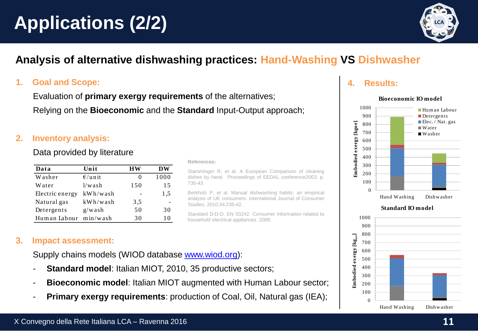# **Applications (2/2)**



## **Analysis of alternative dishwashing practices: Hand-Washing VS Dishwasher**

#### **1. Goal and Scope:**

Evaluation of **primary exergy requirements** of the alternatives; Relying on the **Bioeconomic** and the **Standard** Input-Output approach;

#### **2. Inventory analysis:**

Data provided by literature

| Data            | Unit      | НW  | <b>DW</b> |
|-----------------|-----------|-----|-----------|
| Washer          | $E$ /unit | 0   | 1000      |
| Water           | 1/wash    | 150 | 15        |
| Electric energy | kWh/wash  |     | 1,5       |
| Natural gas     | kWh/wash  | 3,5 |           |
| Detergents      | g/wash    | 50  | 30        |
| Human Labour    | min/wash  | 30  | 10        |

#### **References:**

Stamminger R, et al. A European Comparison of cleaning dishes by hand. Proceedings of EEDAL conference2003. p. 735-43.

Berkholz P, et al. Manual dishwashing habits: an empirical analysis of UK consumers. International Journal of Consumer Studies. 2010;34:235-42.

Standard D-D-D. EN 50242. Consumer information related to household electrical appliances. 2008.

#### **3. Impact assessment:**

Supply chains models (WIOD database [www.wiod.org](http://www.wiod.org/)):

- **Standard model:** Italian MIOT, 2010, 35 productive sectors;
- **Bioeconomic model:** Italian MIOT augmented with Human Labour sector;
- **Primary exergy requirements: production of Coal, Oil, Natural gas (IEA);**

#### **4. Results:**

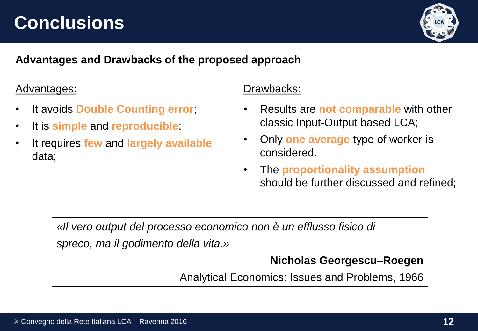## **Conclusions**



## **Advantages and Drawbacks of the proposed approach**

## Advantages:

- It avoids **Double Counting error**;
- It is **simple** and **reproducible**;
- It requires **few** and **largely available** data;

## Drawbacks:

- Results are **not comparable** with other classic Input-Output based LCA;
- Only **one average** type of worker is considered.
- The **proportionality assumption** should be further discussed and refined;

*«Il vero output del processo economico non è un efflusso fisico di spreco, ma il godimento della vita.»*

## **Nicholas Georgescu–Roegen**

Analytical Economics: Issues and Problems, 1966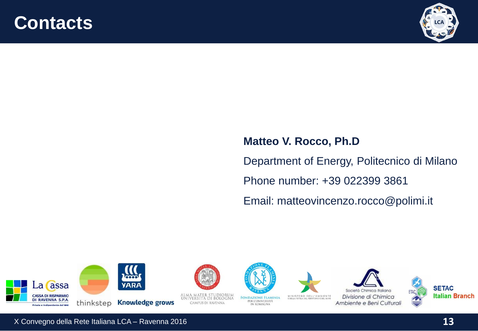## **Contacts**



## **Matteo V. Rocco, Ph.D** Department of Energy, Politecnico di Milano Phone number: +39 022399 3861 Email: matteovincenzo.rocco@polimi.it





IN ROMAGNA







Divisione di Chimica Ambiente e Beni Culturali



X Convegno della Rete Italiana LCA – Ravenna 2016 **13**